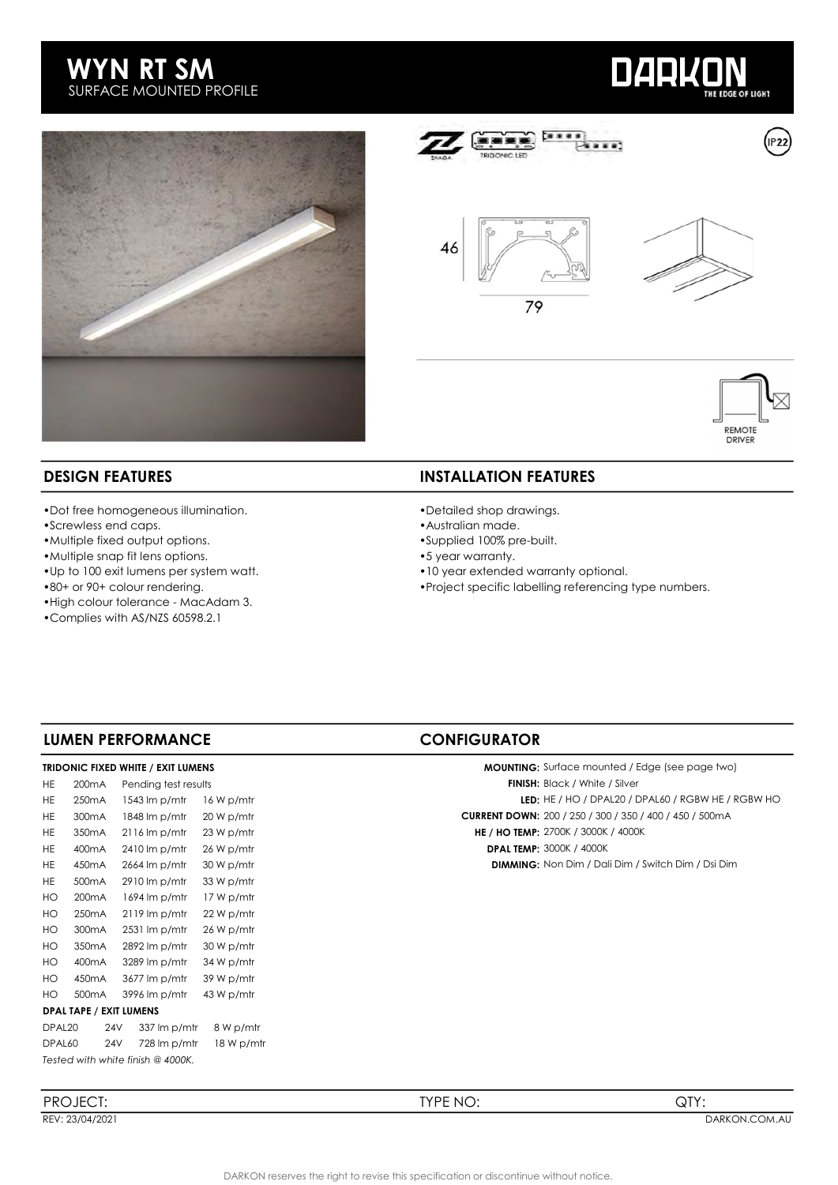





 $...$ 

....

79



REMOTE<br>DRIVER

- •Dot free homogeneous illumination.
- •Screwless end caps.
- •Multiple fixed output options.
- •Multiple snap fit lens options.
- •Up to 100 exit lumens per system watt.
- •80+ or 90+ colour rendering.
- •High colour tolerance MacAdam 3.
- •Complies with AS/NZS 60598.2.1

### **DESIGN FEATURES** INSTALLATION FEATURES

- •Detailed shop drawings.
- •Australian made.
- •Supplied 100% pre-built.
- •5 year warranty.
- •10 year extended warranty optional.
- •Project specific labelling referencing type numbers.

### LUMEN PERFORMANCE CONFIGURATOR

#### TRIDONIC FIXED WHITE / EXIT LUMENS

| HE.                | 200 <sub>m</sub> A             | Pending test results               |            | <b>FINISH:</b> Black / White / Silver        |
|--------------------|--------------------------------|------------------------------------|------------|----------------------------------------------|
| HE.                | 250 <sub>m</sub> A             | $1543 \mathrm{Im} p/mtr$           | 16 W p/mtr | <b>LED:</b> HE / HO / DPAL20 / DF            |
| HE.                | 300 <sub>m</sub> A             | 1848 lm p/mtr                      | 20 W p/mtr | <b>CURRENT DOWN: 200 / 250 / 300 / 350 /</b> |
| HE.                | 350 <sub>m</sub> A             | $2116 \text{ Im }p/\text{m}$       | 23 W p/mtr | <b>HE / HO TEMP: 2700K / 3000K / 4000K</b>   |
| HE.                | 400 <sub>m</sub> A             | 2410 lm p/mfr                      | 26 W p/mtr | <b>DPAL TEMP: 3000K / 4000K</b>              |
| HE.                | 450 <sub>m</sub> A             | 2664 lm p/mtr                      | 30 W p/mtr | <b>DIMMING:</b> Non Dim / Dali Dim / S       |
| HE.                | 500 <sub>m</sub> A             | $2910 \, \text{Im } p/\text{m}$ tr | 33 W p/mtr |                                              |
| HO                 | 200 <sub>m</sub> A             | 1694 lm p/mtr                      | 17 W p/mtr |                                              |
| HO                 | 250 <sub>m</sub> A             | $2119 \text{ Im } p/\text{m}$      | 22 W p/mtr |                                              |
| HO                 | 300 <sub>m</sub> A             | $2531 \text{ Im } p/\text{m}$      | 26 W p/mtr |                                              |
| HO                 | 350 <sub>m</sub> A             | $2892 \, \text{Im } p/\text{m}$ tr | 30 W p/mtr |                                              |
| HO                 | 400mA                          | 3289 lm p/mtr                      | 34 W p/mtr |                                              |
| HO                 | 450 <sub>m</sub> A             | 3677 lm p/mtr                      | 39 W p/mtr |                                              |
| HO.                | 500 <sub>m</sub> A             | 3996 lm p/mtr                      | 43 W p/mtr |                                              |
|                    | <b>DPAL TAPE / EXIT LUMENS</b> |                                    |            |                                              |
| DPAL <sub>20</sub> | 24V                            | 337 lm p/mtr                       | 8 W p/mtr  |                                              |
| DPAL60             | <b>24V</b>                     | 728 lm p/mtr                       | 18 W p/mtr |                                              |
|                    |                                | Tested with white finish @ 4000K.  |            |                                              |

HE 300mA 1848 lm p/mtr 20 W p/mtr Current Current DOWN: 200 / 250 / 300 / 350 / 400 / 450 / 500mA MOUNTING: Surface mounted / Edge (see page two) FINISH: Black / White / Silver LED: HE / HO / DPAL20 / DPAL60 / RGBW HE / RGBW HO

HE 450mA 2664 lm p/mtr 30 W p/mtr DIMMING: Non Dim / Dali Dim / Switch Dim / Dsi Dim

PROJECT: TYPE NO: QTY: REV: 23/04/2021 DARKON.COM.AU BEREV: 23/04/2021